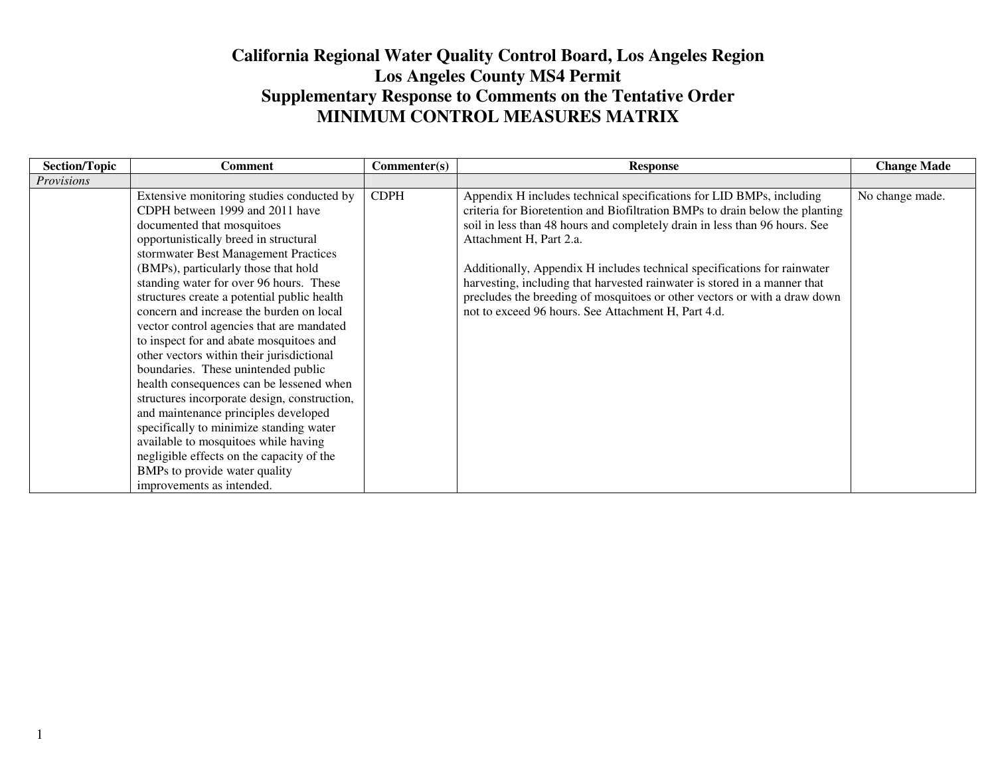## **California Regional Water Quality Control Board, Los Angeles RegionLos Angeles County MS4 Permit Supplementary Response to Comments on the Tentative Order MINIMUM CONTROL MEASURES MATRIX**

| <b>Section/Topic</b> | <b>Comment</b>                               | Commenter(s) | <b>Response</b>                                                              | <b>Change Made</b> |
|----------------------|----------------------------------------------|--------------|------------------------------------------------------------------------------|--------------------|
| <i>Provisions</i>    |                                              |              |                                                                              |                    |
|                      | Extensive monitoring studies conducted by    | <b>CDPH</b>  | Appendix H includes technical specifications for LID BMPs, including         | No change made.    |
|                      | CDPH between 1999 and 2011 have              |              | criteria for Bioretention and Biofiltration BMPs to drain below the planting |                    |
|                      | documented that mosquitoes                   |              | soil in less than 48 hours and completely drain in less than 96 hours. See   |                    |
|                      | opportunistically breed in structural        |              | Attachment H, Part 2.a.                                                      |                    |
|                      | stormwater Best Management Practices         |              |                                                                              |                    |
|                      | (BMPs), particularly those that hold         |              | Additionally, Appendix H includes technical specifications for rainwater     |                    |
|                      | standing water for over 96 hours. These      |              | harvesting, including that harvested rainwater is stored in a manner that    |                    |
|                      | structures create a potential public health  |              | precludes the breeding of mosquitoes or other vectors or with a draw down    |                    |
|                      | concern and increase the burden on local     |              | not to exceed 96 hours. See Attachment H, Part 4.d.                          |                    |
|                      | vector control agencies that are mandated    |              |                                                                              |                    |
|                      | to inspect for and abate mosquitoes and      |              |                                                                              |                    |
|                      | other vectors within their jurisdictional    |              |                                                                              |                    |
|                      | boundaries. These unintended public          |              |                                                                              |                    |
|                      | health consequences can be lessened when     |              |                                                                              |                    |
|                      | structures incorporate design, construction, |              |                                                                              |                    |
|                      | and maintenance principles developed         |              |                                                                              |                    |
|                      | specifically to minimize standing water      |              |                                                                              |                    |
|                      | available to mosquitoes while having         |              |                                                                              |                    |
|                      | negligible effects on the capacity of the    |              |                                                                              |                    |
|                      | BMPs to provide water quality                |              |                                                                              |                    |
|                      | improvements as intended.                    |              |                                                                              |                    |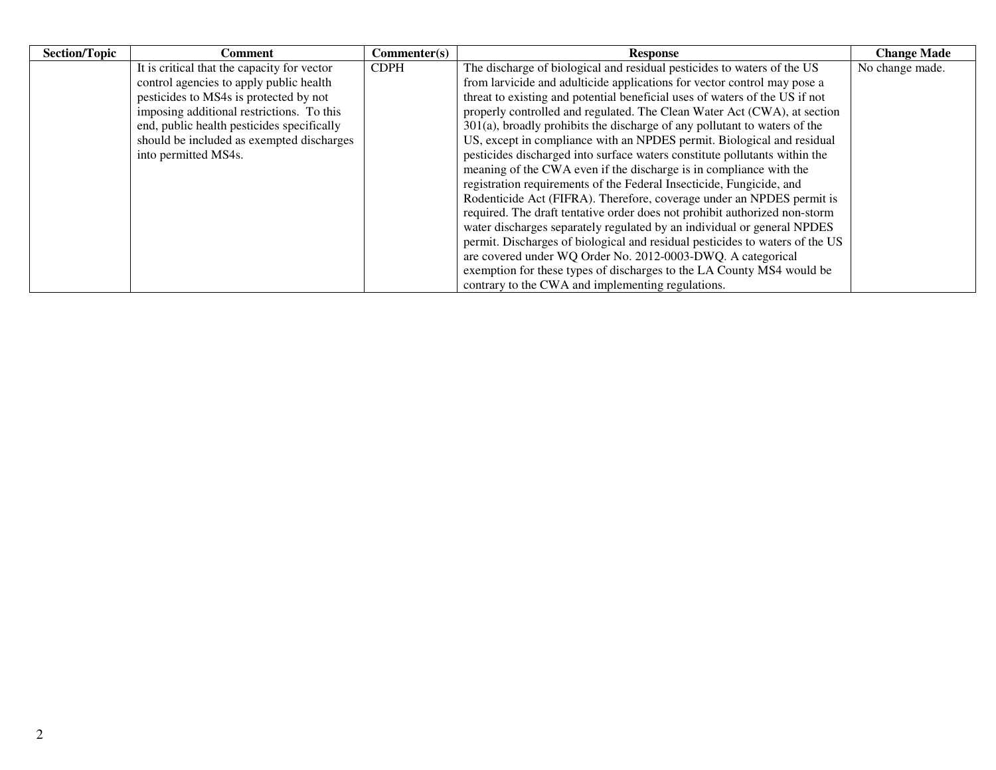| <b>Section/Topic</b> | Comment                                     | Commenter(s) | <b>Response</b>                                                              | <b>Change Made</b> |
|----------------------|---------------------------------------------|--------------|------------------------------------------------------------------------------|--------------------|
|                      | It is critical that the capacity for vector | <b>CDPH</b>  | The discharge of biological and residual pesticides to waters of the US      | No change made.    |
|                      | control agencies to apply public health     |              | from larvicide and adulticide applications for vector control may pose a     |                    |
|                      | pesticides to MS4s is protected by not      |              | threat to existing and potential beneficial uses of waters of the US if not  |                    |
|                      | imposing additional restrictions. To this   |              | properly controlled and regulated. The Clean Water Act (CWA), at section     |                    |
|                      | end, public health pesticides specifically  |              | $301(a)$ , broadly prohibits the discharge of any pollutant to waters of the |                    |
|                      | should be included as exempted discharges   |              | US, except in compliance with an NPDES permit. Biological and residual       |                    |
|                      | into permitted MS4s.                        |              | pesticides discharged into surface waters constitute pollutants within the   |                    |
|                      |                                             |              | meaning of the CWA even if the discharge is in compliance with the           |                    |
|                      |                                             |              | registration requirements of the Federal Insecticide, Fungicide, and         |                    |
|                      |                                             |              | Rodenticide Act (FIFRA). Therefore, coverage under an NPDES permit is        |                    |
|                      |                                             |              | required. The draft tentative order does not prohibit authorized non-storm   |                    |
|                      |                                             |              | water discharges separately regulated by an individual or general NPDES      |                    |
|                      |                                             |              | permit. Discharges of biological and residual pesticides to waters of the US |                    |
|                      |                                             |              | are covered under WQ Order No. 2012-0003-DWQ. A categorical                  |                    |
|                      |                                             |              | exemption for these types of discharges to the LA County MS4 would be        |                    |
|                      |                                             |              | contrary to the CWA and implementing regulations.                            |                    |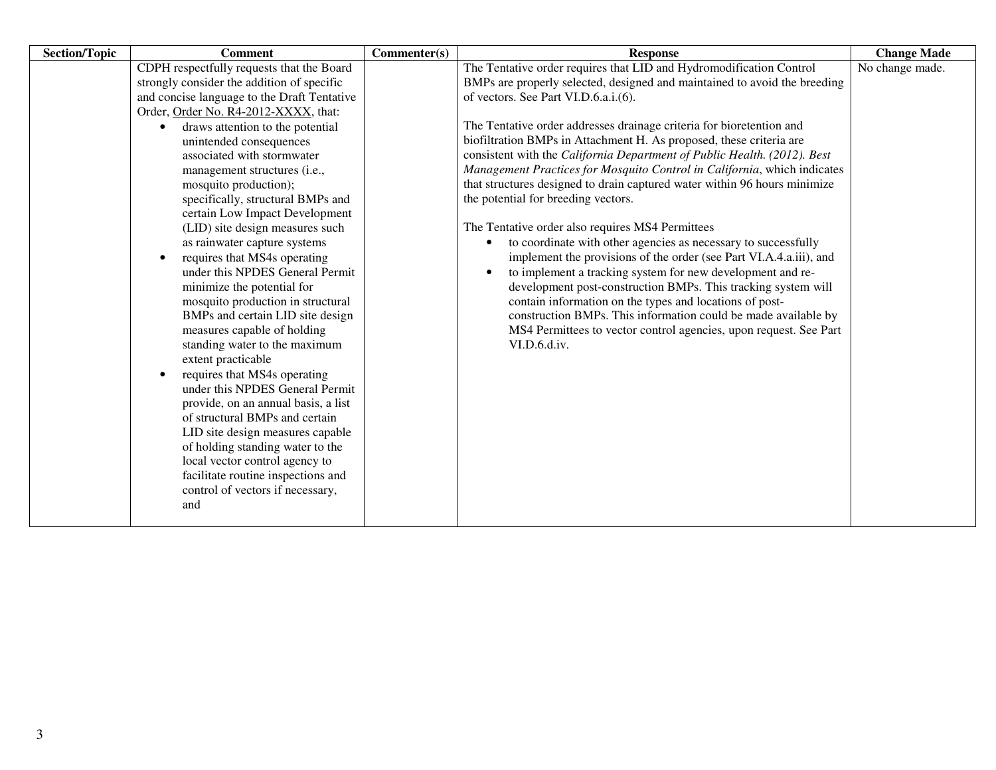| <b>Section/Topic</b> | <b>Comment</b>                                                                                                                                                                                                                                                                                                                                                                                                                                                                                                                                                                   | Commenter(s) | <b>Response</b>                                                                                                                                                                                                                                                                                                                                            | <b>Change Made</b> |
|----------------------|----------------------------------------------------------------------------------------------------------------------------------------------------------------------------------------------------------------------------------------------------------------------------------------------------------------------------------------------------------------------------------------------------------------------------------------------------------------------------------------------------------------------------------------------------------------------------------|--------------|------------------------------------------------------------------------------------------------------------------------------------------------------------------------------------------------------------------------------------------------------------------------------------------------------------------------------------------------------------|--------------------|
|                      | CDPH respectfully requests that the Board                                                                                                                                                                                                                                                                                                                                                                                                                                                                                                                                        |              | The Tentative order requires that LID and Hydromodification Control                                                                                                                                                                                                                                                                                        | No change made.    |
|                      | strongly consider the addition of specific                                                                                                                                                                                                                                                                                                                                                                                                                                                                                                                                       |              | BMPs are properly selected, designed and maintained to avoid the breeding                                                                                                                                                                                                                                                                                  |                    |
|                      | and concise language to the Draft Tentative                                                                                                                                                                                                                                                                                                                                                                                                                                                                                                                                      |              | of vectors. See Part VI.D.6.a.i.(6).                                                                                                                                                                                                                                                                                                                       |                    |
|                      | Order, Order No. R4-2012-XXXX, that:                                                                                                                                                                                                                                                                                                                                                                                                                                                                                                                                             |              |                                                                                                                                                                                                                                                                                                                                                            |                    |
|                      | draws attention to the potential<br>$\bullet$                                                                                                                                                                                                                                                                                                                                                                                                                                                                                                                                    |              | The Tentative order addresses drainage criteria for bioretention and                                                                                                                                                                                                                                                                                       |                    |
|                      | unintended consequences                                                                                                                                                                                                                                                                                                                                                                                                                                                                                                                                                          |              | biofiltration BMPs in Attachment H. As proposed, these criteria are                                                                                                                                                                                                                                                                                        |                    |
|                      | associated with stormwater                                                                                                                                                                                                                                                                                                                                                                                                                                                                                                                                                       |              | consistent with the California Department of Public Health. (2012). Best                                                                                                                                                                                                                                                                                   |                    |
|                      | management structures (i.e.,                                                                                                                                                                                                                                                                                                                                                                                                                                                                                                                                                     |              | Management Practices for Mosquito Control in California, which indicates                                                                                                                                                                                                                                                                                   |                    |
|                      | mosquito production);                                                                                                                                                                                                                                                                                                                                                                                                                                                                                                                                                            |              | that structures designed to drain captured water within 96 hours minimize                                                                                                                                                                                                                                                                                  |                    |
|                      | specifically, structural BMPs and                                                                                                                                                                                                                                                                                                                                                                                                                                                                                                                                                |              | the potential for breeding vectors.                                                                                                                                                                                                                                                                                                                        |                    |
|                      | certain Low Impact Development                                                                                                                                                                                                                                                                                                                                                                                                                                                                                                                                                   |              |                                                                                                                                                                                                                                                                                                                                                            |                    |
|                      | (LID) site design measures such                                                                                                                                                                                                                                                                                                                                                                                                                                                                                                                                                  |              | The Tentative order also requires MS4 Permittees                                                                                                                                                                                                                                                                                                           |                    |
|                      | as rainwater capture systems                                                                                                                                                                                                                                                                                                                                                                                                                                                                                                                                                     |              | to coordinate with other agencies as necessary to successfully<br>$\bullet$                                                                                                                                                                                                                                                                                |                    |
|                      | requires that MS4s operating<br>$\bullet$                                                                                                                                                                                                                                                                                                                                                                                                                                                                                                                                        |              | implement the provisions of the order (see Part VI.A.4.a.iii), and                                                                                                                                                                                                                                                                                         |                    |
|                      | under this NPDES General Permit<br>minimize the potential for<br>mosquito production in structural<br>BMPs and certain LID site design<br>measures capable of holding<br>standing water to the maximum<br>extent practicable<br>requires that MS4s operating<br>$\bullet$<br>under this NPDES General Permit<br>provide, on an annual basis, a list<br>of structural BMPs and certain<br>LID site design measures capable<br>of holding standing water to the<br>local vector control agency to<br>facilitate routine inspections and<br>control of vectors if necessary,<br>and |              | to implement a tracking system for new development and re-<br>$\bullet$<br>development post-construction BMPs. This tracking system will<br>contain information on the types and locations of post-<br>construction BMPs. This information could be made available by<br>MS4 Permittees to vector control agencies, upon request. See Part<br>VI.D.6.d.iv. |                    |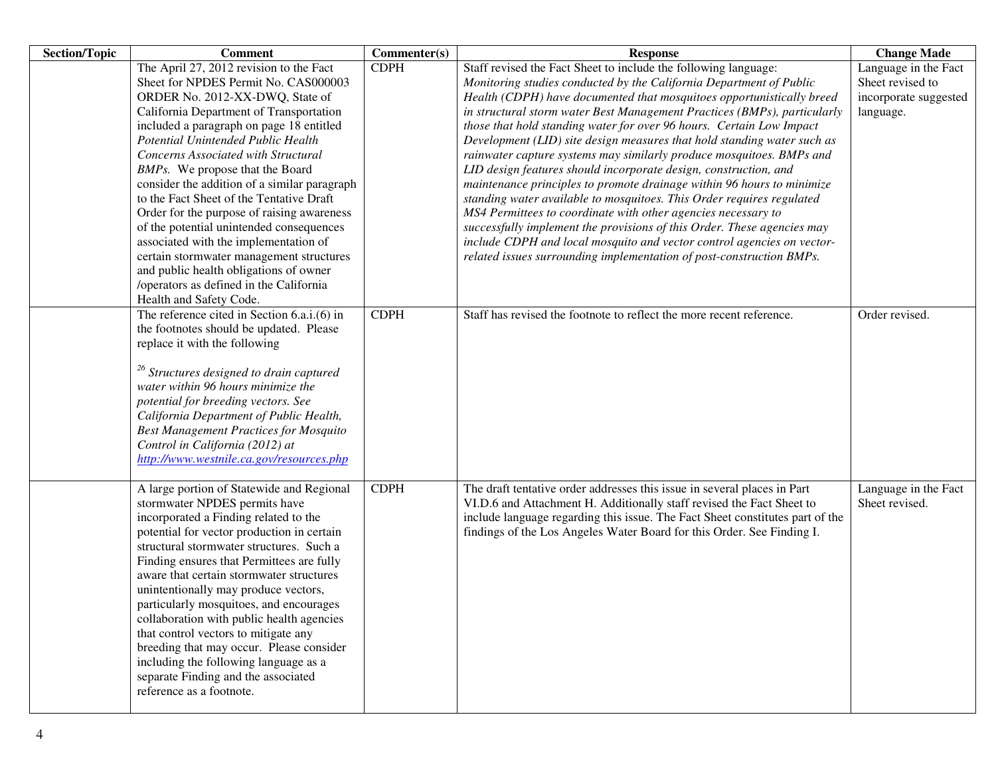| <b>Section/Topic</b> | <b>Comment</b>                                                                                                                                                                                                                                                                                                                                                                                                                                                                                                                                                                                                                                                                                                       | Commenter(s) | <b>Response</b>                                                                                                                                                                                                                                                                                                                                                                                                                                                                                                                                                                                                                                                                                                                                                                                                                                                                                                                                                                                                                             | <b>Change Made</b>                                                             |
|----------------------|----------------------------------------------------------------------------------------------------------------------------------------------------------------------------------------------------------------------------------------------------------------------------------------------------------------------------------------------------------------------------------------------------------------------------------------------------------------------------------------------------------------------------------------------------------------------------------------------------------------------------------------------------------------------------------------------------------------------|--------------|---------------------------------------------------------------------------------------------------------------------------------------------------------------------------------------------------------------------------------------------------------------------------------------------------------------------------------------------------------------------------------------------------------------------------------------------------------------------------------------------------------------------------------------------------------------------------------------------------------------------------------------------------------------------------------------------------------------------------------------------------------------------------------------------------------------------------------------------------------------------------------------------------------------------------------------------------------------------------------------------------------------------------------------------|--------------------------------------------------------------------------------|
|                      | The April 27, 2012 revision to the Fact<br>Sheet for NPDES Permit No. CAS000003<br>ORDER No. 2012-XX-DWQ, State of<br>California Department of Transportation<br>included a paragraph on page 18 entitled<br>Potential Unintended Public Health<br>Concerns Associated with Structural<br>BMPs. We propose that the Board<br>consider the addition of a similar paragraph<br>to the Fact Sheet of the Tentative Draft<br>Order for the purpose of raising awareness<br>of the potential unintended consequences<br>associated with the implementation of<br>certain stormwater management structures<br>and public health obligations of owner<br>/operators as defined in the California<br>Health and Safety Code. | <b>CDPH</b>  | Staff revised the Fact Sheet to include the following language:<br>Monitoring studies conducted by the California Department of Public<br>Health (CDPH) have documented that mosquitoes opportunistically breed<br>in structural storm water Best Management Practices (BMPs), particularly<br>those that hold standing water for over 96 hours. Certain Low Impact<br>Development (LID) site design measures that hold standing water such as<br>rainwater capture systems may similarly produce mosquitoes. BMPs and<br>LID design features should incorporate design, construction, and<br>maintenance principles to promote drainage within 96 hours to minimize<br>standing water available to mosquitoes. This Order requires regulated<br>MS4 Permittees to coordinate with other agencies necessary to<br>successfully implement the provisions of this Order. These agencies may<br>include CDPH and local mosquito and vector control agencies on vector-<br>related issues surrounding implementation of post-construction BMPs. | Language in the Fact<br>Sheet revised to<br>incorporate suggested<br>language. |
|                      | The reference cited in Section 6.a.i.(6) in<br>the footnotes should be updated. Please<br>replace it with the following<br><sup>26</sup> Structures designed to drain captured<br>water within 96 hours minimize the<br>potential for breeding vectors. See<br>California Department of Public Health,<br><b>Best Management Practices for Mosquito</b><br>Control in California (2012) at<br>http://www.westnile.ca.gov/resources.php                                                                                                                                                                                                                                                                               | <b>CDPH</b>  | Staff has revised the footnote to reflect the more recent reference.                                                                                                                                                                                                                                                                                                                                                                                                                                                                                                                                                                                                                                                                                                                                                                                                                                                                                                                                                                        | Order revised.                                                                 |
|                      | A large portion of Statewide and Regional<br>stormwater NPDES permits have<br>incorporated a Finding related to the<br>potential for vector production in certain<br>structural stormwater structures. Such a<br>Finding ensures that Permittees are fully<br>aware that certain stormwater structures<br>unintentionally may produce vectors,<br>particularly mosquitoes, and encourages<br>collaboration with public health agencies<br>that control vectors to mitigate any<br>breeding that may occur. Please consider<br>including the following language as a<br>separate Finding and the associated<br>reference as a footnote.                                                                               | <b>CDPH</b>  | The draft tentative order addresses this issue in several places in Part<br>VI.D.6 and Attachment H. Additionally staff revised the Fact Sheet to<br>include language regarding this issue. The Fact Sheet constitutes part of the<br>findings of the Los Angeles Water Board for this Order. See Finding I.                                                                                                                                                                                                                                                                                                                                                                                                                                                                                                                                                                                                                                                                                                                                | Language in the Fact<br>Sheet revised.                                         |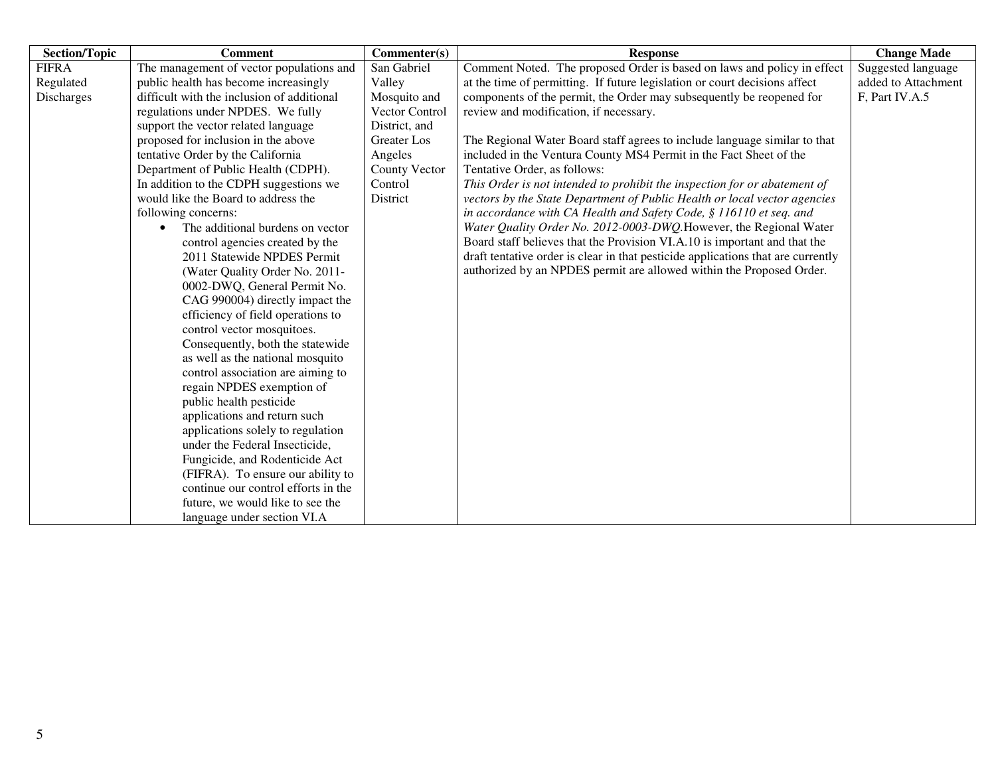| <b>Section/Topic</b> | <b>Comment</b>                             | Commenter(s)         | <b>Response</b>                                                                  | <b>Change Made</b>  |
|----------------------|--------------------------------------------|----------------------|----------------------------------------------------------------------------------|---------------------|
| <b>FIFRA</b>         | The management of vector populations and   | San Gabriel          | Comment Noted. The proposed Order is based on laws and policy in effect          | Suggested language  |
| Regulated            | public health has become increasingly      | Valley               | at the time of permitting. If future legislation or court decisions affect       | added to Attachment |
| Discharges           | difficult with the inclusion of additional | Mosquito and         | components of the permit, the Order may subsequently be reopened for             | F, Part IV.A.5      |
|                      | regulations under NPDES. We fully          | Vector Control       | review and modification, if necessary.                                           |                     |
|                      | support the vector related language        | District, and        |                                                                                  |                     |
|                      | proposed for inclusion in the above        | <b>Greater</b> Los   | The Regional Water Board staff agrees to include language similar to that        |                     |
|                      | tentative Order by the California          | Angeles              | included in the Ventura County MS4 Permit in the Fact Sheet of the               |                     |
|                      | Department of Public Health (CDPH).        | <b>County Vector</b> | Tentative Order, as follows:                                                     |                     |
|                      | In addition to the CDPH suggestions we     | Control              | This Order is not intended to prohibit the inspection for or abatement of        |                     |
|                      | would like the Board to address the        | District             | vectors by the State Department of Public Health or local vector agencies        |                     |
|                      | following concerns:                        |                      | in accordance with CA Health and Safety Code, § 116110 et seq. and               |                     |
|                      | The additional burdens on vector           |                      | Water Quality Order No. 2012-0003-DWQ. However, the Regional Water               |                     |
|                      | control agencies created by the            |                      | Board staff believes that the Provision VI.A.10 is important and that the        |                     |
|                      | 2011 Statewide NPDES Permit                |                      | draft tentative order is clear in that pesticide applications that are currently |                     |
|                      | (Water Quality Order No. 2011-             |                      | authorized by an NPDES permit are allowed within the Proposed Order.             |                     |
|                      | 0002-DWQ, General Permit No.               |                      |                                                                                  |                     |
|                      | CAG 990004) directly impact the            |                      |                                                                                  |                     |
|                      | efficiency of field operations to          |                      |                                                                                  |                     |
|                      | control vector mosquitoes.                 |                      |                                                                                  |                     |
|                      | Consequently, both the statewide           |                      |                                                                                  |                     |
|                      | as well as the national mosquito           |                      |                                                                                  |                     |
|                      | control association are aiming to          |                      |                                                                                  |                     |
|                      | regain NPDES exemption of                  |                      |                                                                                  |                     |
|                      | public health pesticide                    |                      |                                                                                  |                     |
|                      | applications and return such               |                      |                                                                                  |                     |
|                      | applications solely to regulation          |                      |                                                                                  |                     |
|                      | under the Federal Insecticide,             |                      |                                                                                  |                     |
|                      | Fungicide, and Rodenticide Act             |                      |                                                                                  |                     |
|                      | (FIFRA). To ensure our ability to          |                      |                                                                                  |                     |
|                      | continue our control efforts in the        |                      |                                                                                  |                     |
|                      | future, we would like to see the           |                      |                                                                                  |                     |
|                      | language under section VI.A                |                      |                                                                                  |                     |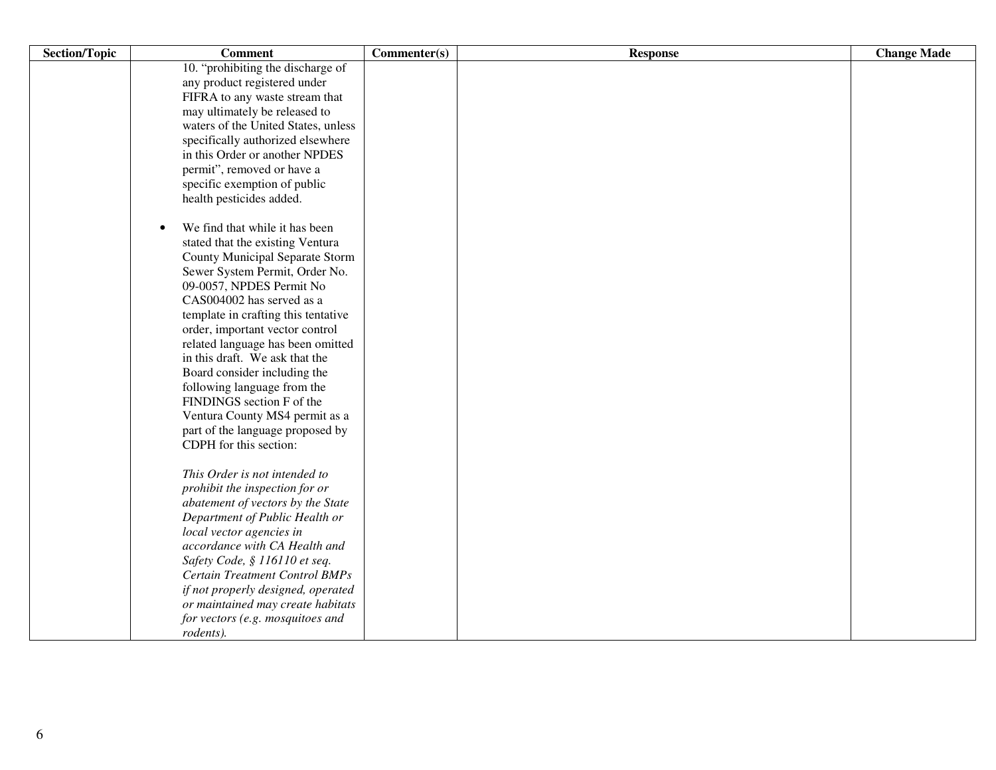| <b>Section/Topic</b> | <b>Comment</b>                              | Commenter(s) | <b>Response</b> | <b>Change Made</b> |
|----------------------|---------------------------------------------|--------------|-----------------|--------------------|
|                      | 10. "prohibiting the discharge of           |              |                 |                    |
|                      | any product registered under                |              |                 |                    |
|                      | FIFRA to any waste stream that              |              |                 |                    |
|                      | may ultimately be released to               |              |                 |                    |
|                      | waters of the United States, unless         |              |                 |                    |
|                      | specifically authorized elsewhere           |              |                 |                    |
|                      | in this Order or another NPDES              |              |                 |                    |
|                      | permit", removed or have a                  |              |                 |                    |
|                      | specific exemption of public                |              |                 |                    |
|                      | health pesticides added.                    |              |                 |                    |
|                      |                                             |              |                 |                    |
|                      | We find that while it has been<br>$\bullet$ |              |                 |                    |
|                      | stated that the existing Ventura            |              |                 |                    |
|                      | County Municipal Separate Storm             |              |                 |                    |
|                      | Sewer System Permit, Order No.              |              |                 |                    |
|                      | 09-0057, NPDES Permit No                    |              |                 |                    |
|                      | CAS004002 has served as a                   |              |                 |                    |
|                      | template in crafting this tentative         |              |                 |                    |
|                      | order, important vector control             |              |                 |                    |
|                      | related language has been omitted           |              |                 |                    |
|                      | in this draft. We ask that the              |              |                 |                    |
|                      | Board consider including the                |              |                 |                    |
|                      | following language from the                 |              |                 |                    |
|                      | FINDINGS section F of the                   |              |                 |                    |
|                      | Ventura County MS4 permit as a              |              |                 |                    |
|                      | part of the language proposed by            |              |                 |                    |
|                      | CDPH for this section:                      |              |                 |                    |
|                      | This Order is not intended to               |              |                 |                    |
|                      | prohibit the inspection for or              |              |                 |                    |
|                      | abatement of vectors by the State           |              |                 |                    |
|                      | Department of Public Health or              |              |                 |                    |
|                      | local vector agencies in                    |              |                 |                    |
|                      | accordance with CA Health and               |              |                 |                    |
|                      | Safety Code, § 116110 et seq.               |              |                 |                    |
|                      | <b>Certain Treatment Control BMPs</b>       |              |                 |                    |
|                      | if not properly designed, operated          |              |                 |                    |
|                      | or maintained may create habitats           |              |                 |                    |
|                      | for vectors (e.g. mosquitoes and            |              |                 |                    |
|                      | rodents).                                   |              |                 |                    |